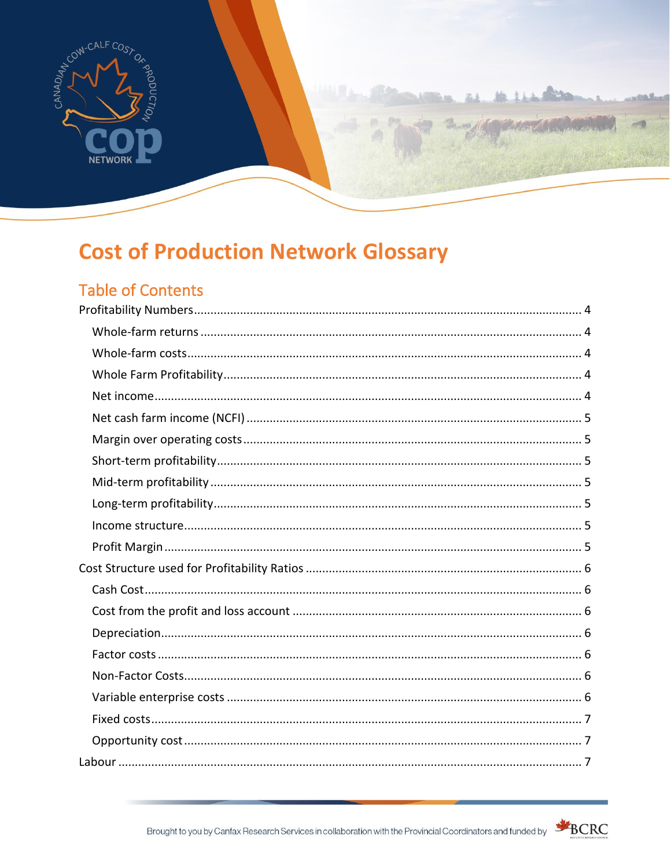

# **Cost of Production Network Glossary**

# **Table of Contents**

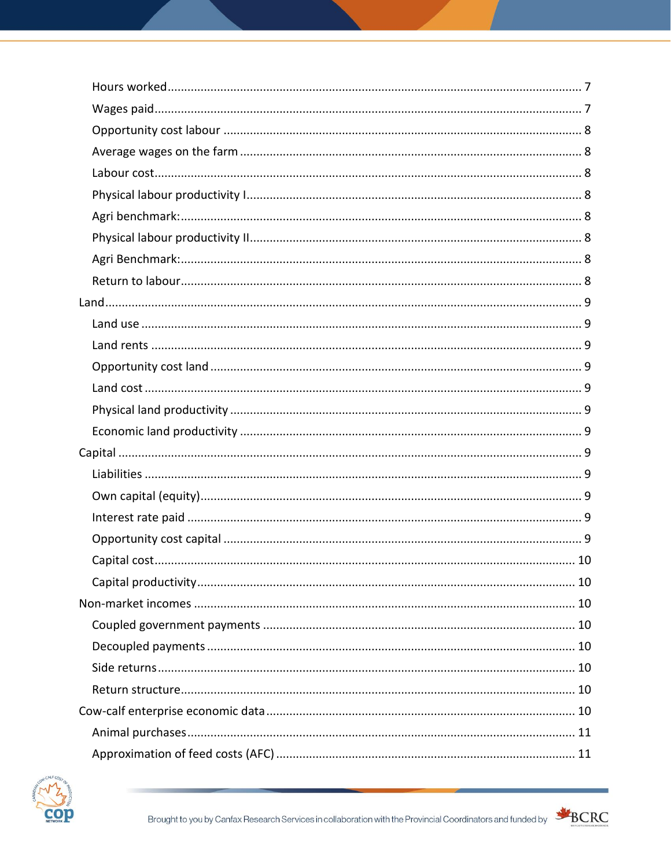

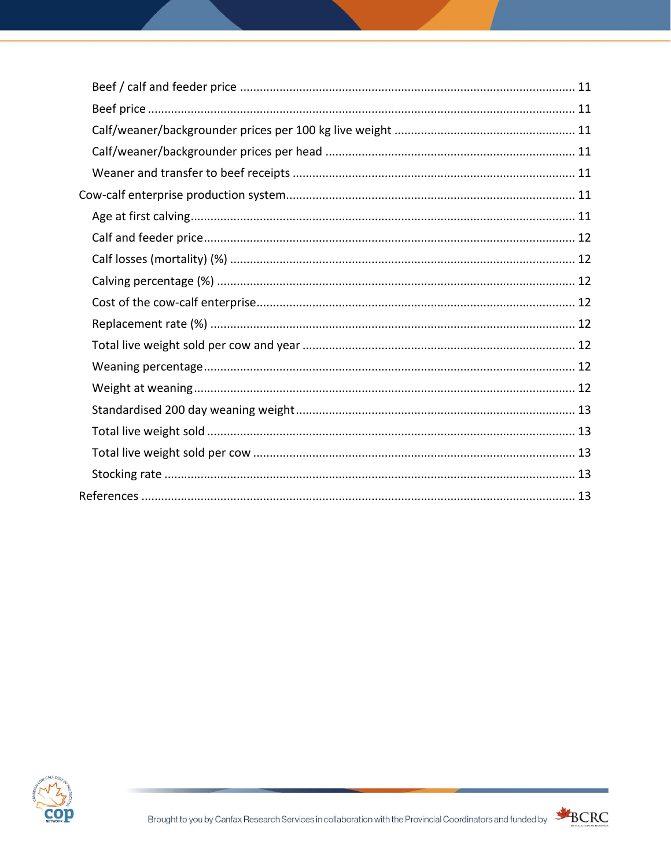



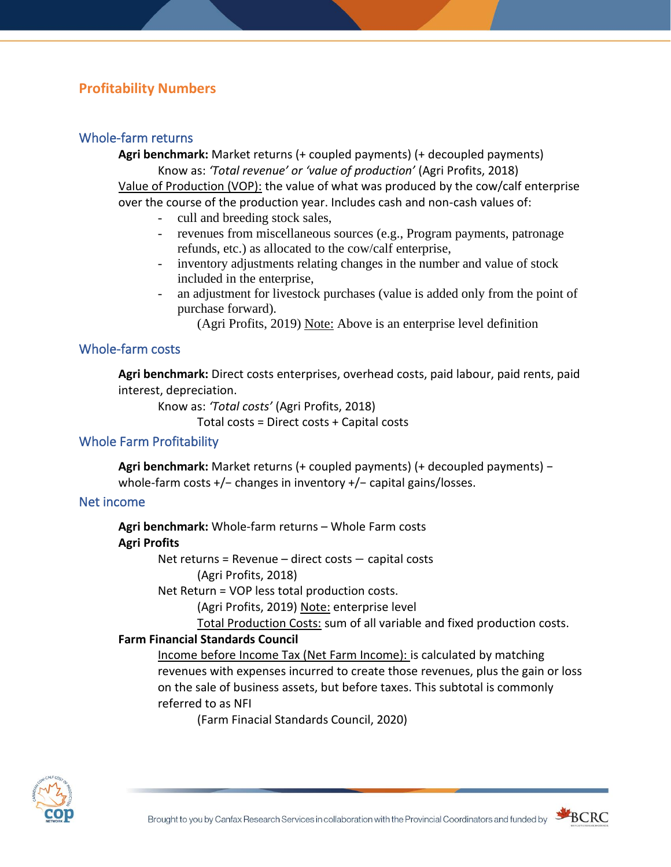### <span id="page-3-0"></span>**Profitability Numbers**

### <span id="page-3-1"></span>Whole-farm returns

**Agri benchmark:** Market returns (+ coupled payments) (+ decoupled payments) Know as: *'Total revenue' or 'value of production'* (Agri Profits, 2018) Value of Production (VOP): the value of what was produced by the cow/calf enterprise over the course of the production year. Includes cash and non-cash values of:

- cull and breeding stock sales.
- revenues from miscellaneous sources (e.g., Program payments, patronage refunds, etc.) as allocated to the cow/calf enterprise,
- inventory adjustments relating changes in the number and value of stock included in the enterprise,
- an adjustment for livestock purchases (value is added only from the point of purchase forward).

(Agri Profits, 2019) Note: Above is an enterprise level definition

### <span id="page-3-2"></span>Whole-farm costs

**Agri benchmark:** Direct costs enterprises, overhead costs, paid labour, paid rents, paid interest, depreciation.

Know as: *'Total costs'* (Agri Profits, 2018)

Total costs = Direct costs + Capital costs

### <span id="page-3-3"></span>Whole Farm Profitability

**Agri benchmark:** Market returns (+ coupled payments) (+ decoupled payments) − whole-farm costs +/− changes in inventory +/− capital gains/losses.

#### <span id="page-3-4"></span>Net income

**Agri benchmark:** Whole-farm returns – Whole Farm costs

### **Agri Profits**

Net returns = Revenue – direct costs – capital costs

(Agri Profits, 2018)

Net Return = VOP less total production costs.

(Agri Profits, 2019) Note: enterprise level

Total Production Costs: sum of all variable and fixed production costs.

#### **Farm Financial Standards Council**

Income before Income Tax (Net Farm Income): is calculated by matching revenues with expenses incurred to create those revenues, plus the gain or loss on the sale of business assets, but before taxes. This subtotal is commonly referred to as NFI

(Farm Finacial Standards Council, 2020)



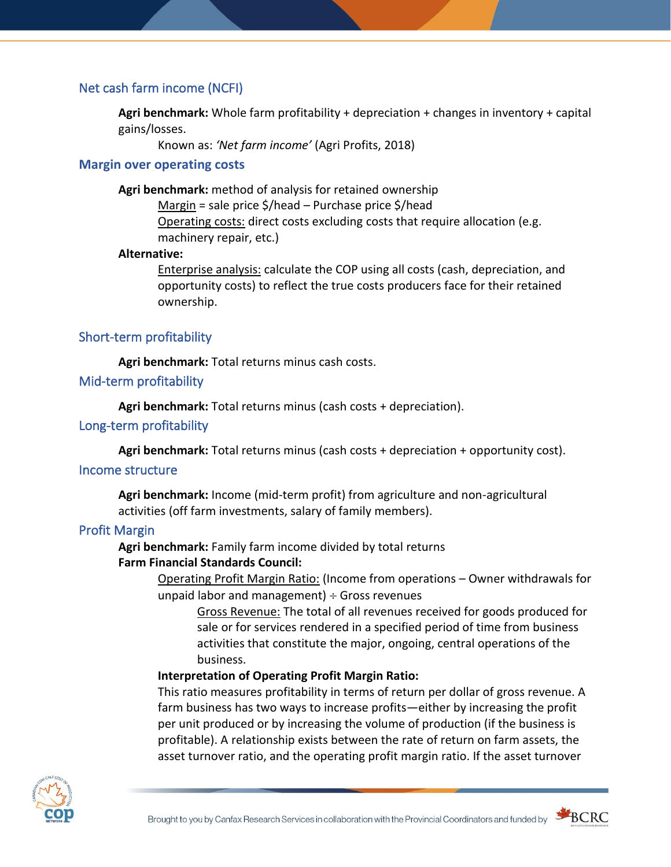### <span id="page-4-0"></span>Net cash farm income (NCFI)

**Agri benchmark:** Whole farm profitability + depreciation + changes in inventory + capital gains/losses.

Known as: *'Net farm income'* (Agri Profits, 2018)

#### <span id="page-4-1"></span>**Margin over operating costs**

**Agri benchmark:** method of analysis for retained ownership

Margin = sale price \$/head – Purchase price \$/head Operating costs: direct costs excluding costs that require allocation (e.g. machinery repair, etc.)

#### **Alternative:**

Enterprise analysis: calculate the COP using all costs (cash, depreciation, and opportunity costs) to reflect the true costs producers face for their retained ownership.

### <span id="page-4-2"></span>Short-term profitability

**Agri benchmark:** Total returns minus cash costs.

### <span id="page-4-3"></span>Mid-term profitability

**Agri benchmark:** Total returns minus (cash costs + depreciation).

#### <span id="page-4-4"></span>Long-term profitability

**Agri benchmark:** Total returns minus (cash costs + depreciation + opportunity cost).

#### <span id="page-4-5"></span>Income structure

**Agri benchmark:** Income (mid-term profit) from agriculture and non-agricultural activities (off farm investments, salary of family members).

#### <span id="page-4-6"></span>Profit Margin

**Agri benchmark:** Family farm income divided by total returns

#### **Farm Financial Standards Council:**

Operating Profit Margin Ratio: (Income from operations – Owner withdrawals for unpaid labor and management)  $\div$  Gross revenues

Gross Revenue: The total of all revenues received for goods produced for sale or for services rendered in a specified period of time from business activities that constitute the major, ongoing, central operations of the business.

#### **Interpretation of Operating Profit Margin Ratio:**

This ratio measures profitability in terms of return per dollar of gross revenue. A farm business has two ways to increase profits—either by increasing the profit per unit produced or by increasing the volume of production (if the business is profitable). A relationship exists between the rate of return on farm assets, the asset turnover ratio, and the operating profit margin ratio. If the asset turnover



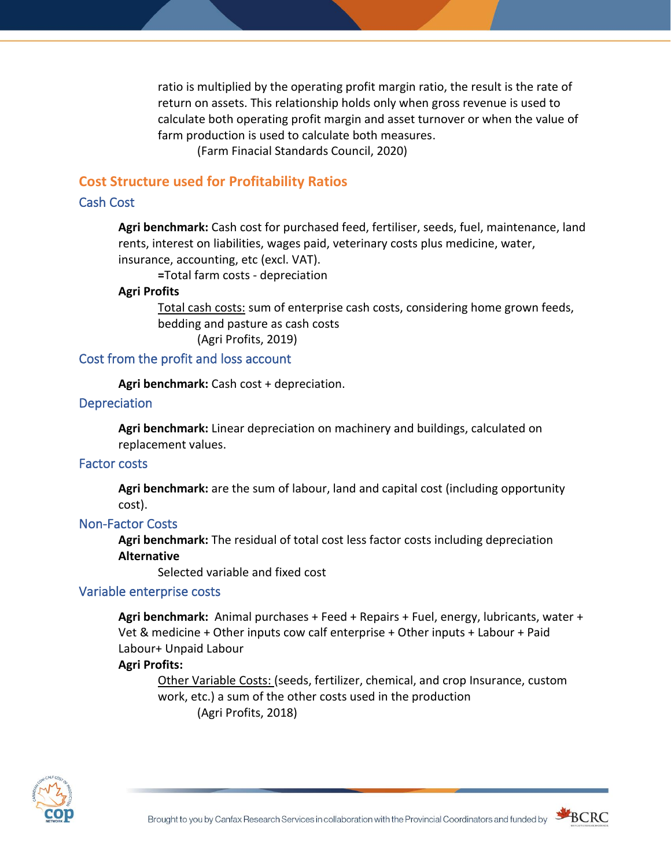ratio is multiplied by the operating profit margin ratio, the result is the rate of return on assets. This relationship holds only when gross revenue is used to calculate both operating profit margin and asset turnover or when the value of farm production is used to calculate both measures.

(Farm Finacial Standards Council, 2020)

### <span id="page-5-0"></span>**Cost Structure used for Profitability Ratios**

#### <span id="page-5-1"></span>Cash Cost

**Agri benchmark:** Cash cost for purchased feed, fertiliser, seeds, fuel, maintenance, land rents, interest on liabilities, wages paid, veterinary costs plus medicine, water, insurance, accounting, etc (excl. VAT).

**=**Total farm costs - depreciation

#### **Agri Profits**

Total cash costs: sum of enterprise cash costs, considering home grown feeds, bedding and pasture as cash costs

(Agri Profits, 2019)

### <span id="page-5-2"></span>Cost from the profit and loss account

**Agri benchmark:** Cash cost + depreciation.

#### <span id="page-5-3"></span>**Depreciation**

**Agri benchmark:** Linear depreciation on machinery and buildings, calculated on replacement values.

### <span id="page-5-4"></span>Factor costs

**Agri benchmark:** are the sum of labour, land and capital cost (including opportunity cost).

#### <span id="page-5-5"></span>Non-Factor Costs

**Agri benchmark:** The residual of total cost less factor costs including depreciation **Alternative**

Selected variable and fixed cost

#### <span id="page-5-6"></span>Variable enterprise costs

**Agri benchmark:** Animal purchases + Feed + Repairs + Fuel, energy, lubricants, water + Vet & medicine + Other inputs cow calf enterprise + Other inputs + Labour + Paid Labour+ Unpaid Labour

### **Agri Profits:**

Other Variable Costs: (seeds, fertilizer, chemical, and crop Insurance, custom work, etc.) a sum of the other costs used in the production (Agri Profits, 2018)



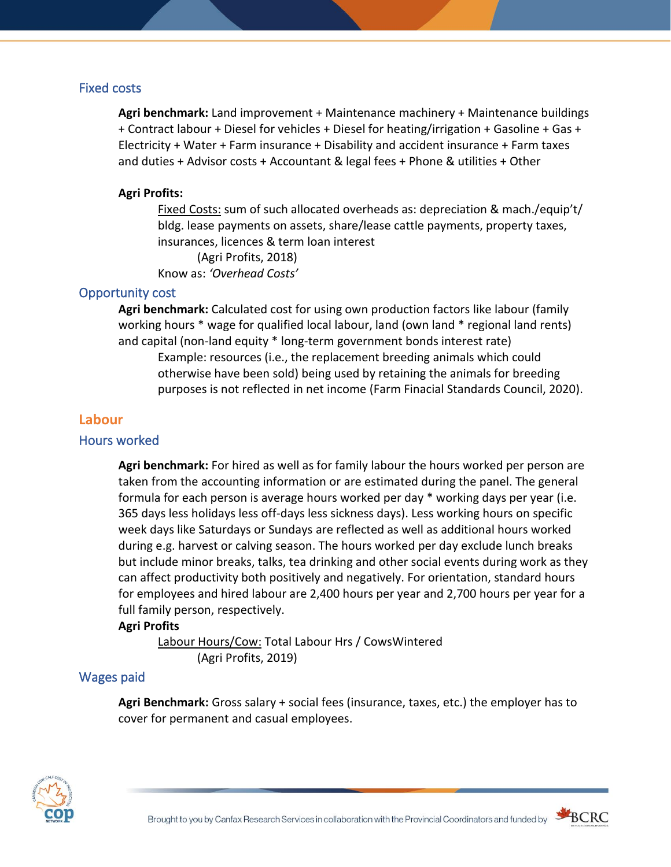### <span id="page-6-0"></span>Fixed costs

**Agri benchmark:** Land improvement + Maintenance machinery + Maintenance buildings + Contract labour + Diesel for vehicles + Diesel for heating/irrigation + Gasoline + Gas + Electricity + Water + Farm insurance + Disability and accident insurance + Farm taxes and duties + Advisor costs + Accountant & legal fees + Phone & utilities + Other

### **Agri Profits:**

Fixed Costs: sum of such allocated overheads as: depreciation & mach./equip't/ bldg. lease payments on assets, share/lease cattle payments, property taxes, insurances, licences & term loan interest (Agri Profits, 2018) Know as: *'Overhead Costs'*

### <span id="page-6-1"></span>Opportunity cost

**Agri benchmark:** Calculated cost for using own production factors like labour (family working hours \* wage for qualified local labour, land (own land \* regional land rents) and capital (non-land equity \* long-term government bonds interest rate) Example: resources (i.e., the replacement breeding animals which could otherwise have been sold) being used by retaining the animals for breeding purposes is not reflected in net income (Farm Finacial Standards Council, 2020).

### <span id="page-6-2"></span>**Labour**

### <span id="page-6-3"></span>Hours worked

**Agri benchmark:** For hired as well as for family labour the hours worked per person are taken from the accounting information or are estimated during the panel. The general formula for each person is average hours worked per day \* working days per year (i.e. 365 days less holidays less off-days less sickness days). Less working hours on specific week days like Saturdays or Sundays are reflected as well as additional hours worked during e.g. harvest or calving season. The hours worked per day exclude lunch breaks but include minor breaks, talks, tea drinking and other social events during work as they can affect productivity both positively and negatively. For orientation, standard hours for employees and hired labour are 2,400 hours per year and 2,700 hours per year for a full family person, respectively.

#### **Agri Profits**

Labour Hours/Cow: Total Labour Hrs / CowsWintered (Agri Profits, 2019)

### <span id="page-6-4"></span>Wages paid

**Agri Benchmark:** Gross salary + social fees (insurance, taxes, etc.) the employer has to cover for permanent and casual employees.



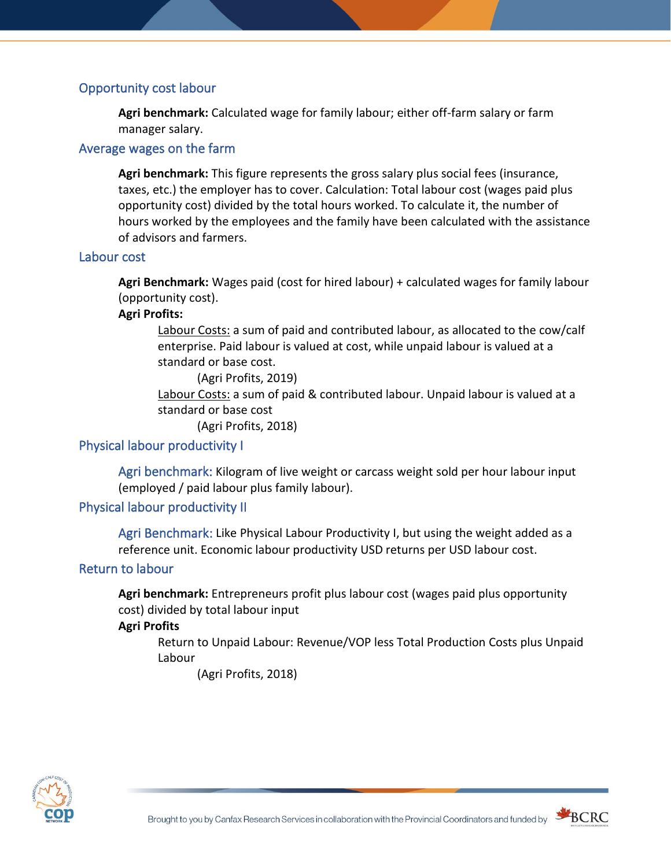### <span id="page-7-0"></span>Opportunity cost labour

**Agri benchmark:** Calculated wage for family labour; either off-farm salary or farm manager salary.

### <span id="page-7-1"></span>Average wages on the farm

**Agri benchmark:** This figure represents the gross salary plus social fees (insurance, taxes, etc.) the employer has to cover. Calculation: Total labour cost (wages paid plus opportunity cost) divided by the total hours worked. To calculate it, the number of hours worked by the employees and the family have been calculated with the assistance of advisors and farmers.

### <span id="page-7-2"></span>Labour cost

**Agri Benchmark:** Wages paid (cost for hired labour) + calculated wages for family labour (opportunity cost).

### **Agri Profits:**

Labour Costs: a sum of paid and contributed labour, as allocated to the cow/calf enterprise. Paid labour is valued at cost, while unpaid labour is valued at a standard or base cost.

(Agri Profits, 2019)

Labour Costs: a sum of paid & contributed labour. Unpaid labour is valued at a standard or base cost

(Agri Profits, 2018)

### <span id="page-7-4"></span><span id="page-7-3"></span>Physical labour productivity I

Agri benchmark: Kilogram of live weight or carcass weight sold per hour labour input (employed / paid labour plus family labour).

### <span id="page-7-6"></span><span id="page-7-5"></span>Physical labour productivity II

Agri Benchmark: Like Physical Labour Productivity I, but using the weight added as a reference unit. Economic labour productivity USD returns per USD labour cost.

### <span id="page-7-7"></span>Return to labour

**Agri benchmark:** Entrepreneurs profit plus labour cost (wages paid plus opportunity cost) divided by total labour input

### **Agri Profits**

Return to Unpaid Labour: Revenue/VOP less Total Production Costs plus Unpaid Labour

(Agri Profits, 2018)



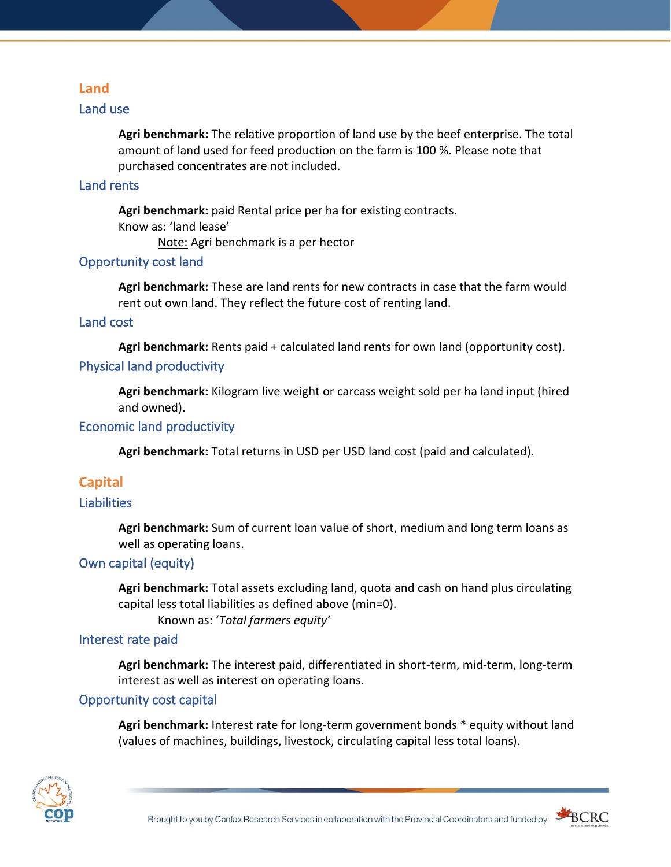### <span id="page-8-0"></span>**Land**

### <span id="page-8-1"></span>Land use

**Agri benchmark:** The relative proportion of land use by the beef enterprise. The total amount of land used for feed production on the farm is 100 %. Please note that purchased concentrates are not included.

### <span id="page-8-2"></span>Land rents

**Agri benchmark:** paid Rental price per ha for existing contracts. Know as: 'land lease'

Note: Agri benchmark is a per hector

### <span id="page-8-3"></span>Opportunity cost land

**Agri benchmark:** These are land rents for new contracts in case that the farm would rent out own land. They reflect the future cost of renting land.

### <span id="page-8-4"></span>Land cost

<span id="page-8-5"></span>**Agri benchmark:** Rents paid + calculated land rents for own land (opportunity cost). Physical land productivity

**Agri benchmark:** Kilogram live weight or carcass weight sold per ha land input (hired and owned).

### <span id="page-8-6"></span>Economic land productivity

**Agri benchmark:** Total returns in USD per USD land cost (paid and calculated).

### <span id="page-8-7"></span>**Capital**

### <span id="page-8-8"></span>**Liabilities**

**Agri benchmark:** Sum of current loan value of short, medium and long term loans as well as operating loans.

### <span id="page-8-9"></span>Own capital (equity)

**Agri benchmark:** Total assets excluding land, quota and cash on hand plus circulating capital less total liabilities as defined above (min=0).

Known as: '*Total farmers equity'*

### <span id="page-8-10"></span>Interest rate paid

**Agri benchmark:** The interest paid, differentiated in short-term, mid-term, long-term interest as well as interest on operating loans.

### <span id="page-8-11"></span>Opportunity cost capital

**Agri benchmark:** Interest rate for long-term government bonds \* equity without land (values of machines, buildings, livestock, circulating capital less total loans).



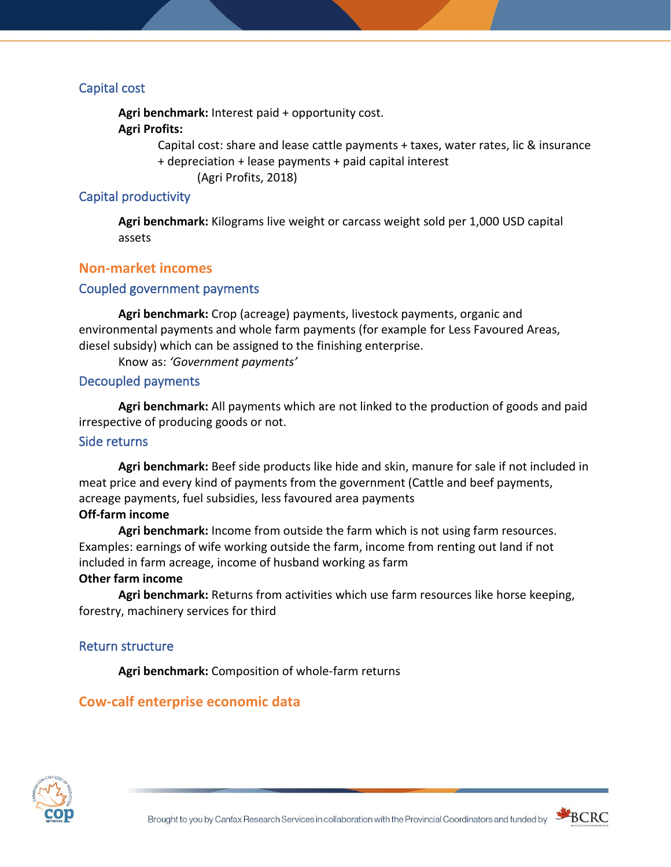### <span id="page-9-0"></span>Capital cost

**Agri benchmark:** Interest paid + opportunity cost.

### **Agri Profits:**

Capital cost: share and lease cattle payments + taxes, water rates, lic & insurance + depreciation + lease payments + paid capital interest

(Agri Profits, 2018)

### <span id="page-9-1"></span>Capital productivity

**Agri benchmark:** Kilograms live weight or carcass weight sold per 1,000 USD capital assets

### <span id="page-9-2"></span>**Non-market incomes**

### <span id="page-9-3"></span>Coupled government payments

**Agri benchmark:** Crop (acreage) payments, livestock payments, organic and environmental payments and whole farm payments (for example for Less Favoured Areas, diesel subsidy) which can be assigned to the finishing enterprise.

Know as: *'Government payments'*

### <span id="page-9-4"></span>Decoupled payments

**Agri benchmark:** All payments which are not linked to the production of goods and paid irrespective of producing goods or not.

#### <span id="page-9-5"></span>Side returns

**Agri benchmark:** Beef side products like hide and skin, manure for sale if not included in meat price and every kind of payments from the government (Cattle and beef payments, acreage payments, fuel subsidies, less favoured area payments

#### **Off-farm income**

**Agri benchmark:** Income from outside the farm which is not using farm resources. Examples: earnings of wife working outside the farm, income from renting out land if not included in farm acreage, income of husband working as farm

### **Other farm income**

**Agri benchmark:** Returns from activities which use farm resources like horse keeping, forestry, machinery services for third

#### <span id="page-9-6"></span>Return structure

**Agri benchmark:** Composition of whole-farm returns

### <span id="page-9-7"></span>**Cow-calf enterprise economic data**



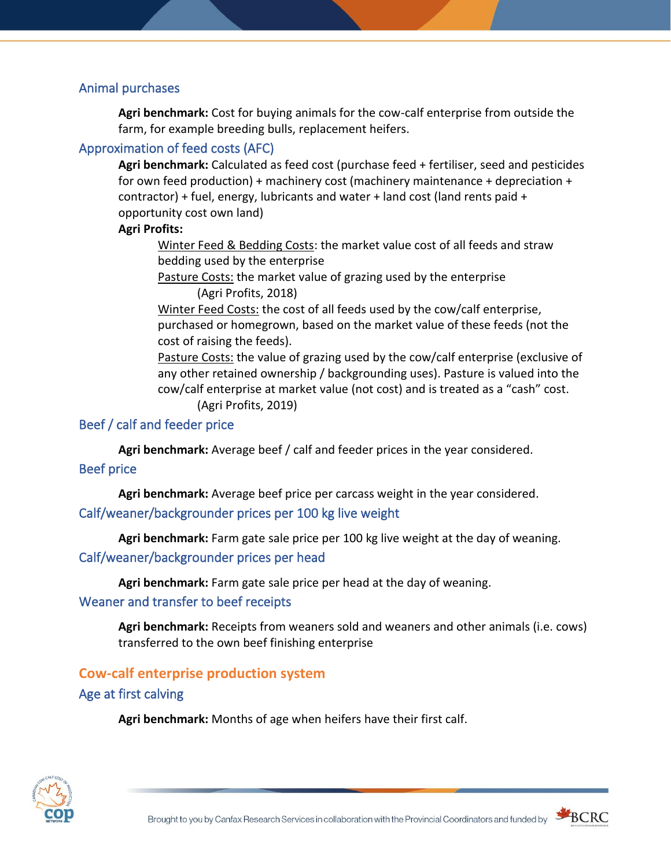### <span id="page-10-0"></span>Animal purchases

**Agri benchmark:** Cost for buying animals for the cow-calf enterprise from outside the farm, for example breeding bulls, replacement heifers.

### <span id="page-10-1"></span>Approximation of feed costs (AFC)

**Agri benchmark:** Calculated as feed cost (purchase feed + fertiliser, seed and pesticides for own feed production) + machinery cost (machinery maintenance + depreciation + contractor) + fuel, energy, lubricants and water + land cost (land rents paid + opportunity cost own land)

### **Agri Profits:**

Winter Feed & Bedding Costs: the market value cost of all feeds and straw bedding used by the enterprise

Pasture Costs: the market value of grazing used by the enterprise (Agri Profits, 2018)

Winter Feed Costs: the cost of all feeds used by the cow/calf enterprise, purchased or homegrown, based on the market value of these feeds (not the cost of raising the feeds).

Pasture Costs: the value of grazing used by the cow/calf enterprise (exclusive of any other retained ownership / backgrounding uses). Pasture is valued into the cow/calf enterprise at market value (not cost) and is treated as a "cash" cost. (Agri Profits, 2019)

# <span id="page-10-2"></span>Beef / calf and feeder price

**Agri benchmark:** Average beef / calf and feeder prices in the year considered.

### <span id="page-10-3"></span>Beef price

<span id="page-10-4"></span>**Agri benchmark:** Average beef price per carcass weight in the year considered. Calf/weaner/backgrounder prices per 100 kg live weight

<span id="page-10-5"></span>**Agri benchmark:** Farm gate sale price per 100 kg live weight at the day of weaning. Calf/weaner/backgrounder prices per head

**Agri benchmark:** Farm gate sale price per head at the day of weaning.

### <span id="page-10-6"></span>Weaner and transfer to beef receipts

**Agri benchmark:** Receipts from weaners sold and weaners and other animals (i.e. cows) transferred to the own beef finishing enterprise

### <span id="page-10-7"></span>**Cow-calf enterprise production system**

### <span id="page-10-8"></span>Age at first calving

**Agri benchmark:** Months of age when heifers have their first calf.



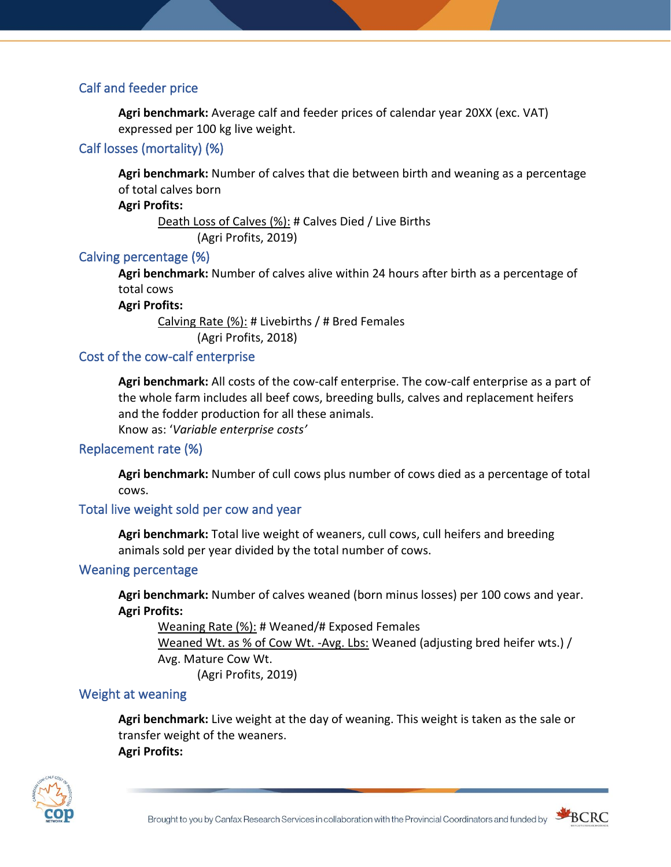### <span id="page-11-0"></span>Calf and feeder price

**Agri benchmark:** Average calf and feeder prices of calendar year 20XX (exc. VAT) expressed per 100 kg live weight.

### <span id="page-11-1"></span>Calf losses (mortality) (%)

**Agri benchmark:** Number of calves that die between birth and weaning as a percentage of total calves born

**Agri Profits:**

Death Loss of Calves (%): # Calves Died / Live Births (Agri Profits, 2019)

### <span id="page-11-2"></span>Calving percentage (%)

**Agri benchmark:** Number of calves alive within 24 hours after birth as a percentage of total cows

**Agri Profits:**

Calving Rate (%): # Livebirths / # Bred Females (Agri Profits, 2018)

### <span id="page-11-3"></span>Cost of the cow-calf enterprise

**Agri benchmark:** All costs of the cow-calf enterprise. The cow-calf enterprise as a part of the whole farm includes all beef cows, breeding bulls, calves and replacement heifers and the fodder production for all these animals.

Know as: '*Variable enterprise costs'*

### <span id="page-11-4"></span>Replacement rate (%)

**Agri benchmark:** Number of cull cows plus number of cows died as a percentage of total cows.

### <span id="page-11-5"></span>Total live weight sold per cow and year

**Agri benchmark:** Total live weight of weaners, cull cows, cull heifers and breeding animals sold per year divided by the total number of cows.

### <span id="page-11-6"></span>Weaning percentage

**Agri benchmark:** Number of calves weaned (born minus losses) per 100 cows and year. **Agri Profits:**

Weaning Rate (%): # Weaned/# Exposed Females Weaned Wt. as % of Cow Wt. -Avg. Lbs: Weaned (adjusting bred heifer wts.) / Avg. Mature Cow Wt. (Agri Profits, 2019)

### <span id="page-11-7"></span>Weight at weaning

**Agri benchmark:** Live weight at the day of weaning. This weight is taken as the sale or transfer weight of the weaners. **Agri Profits:**



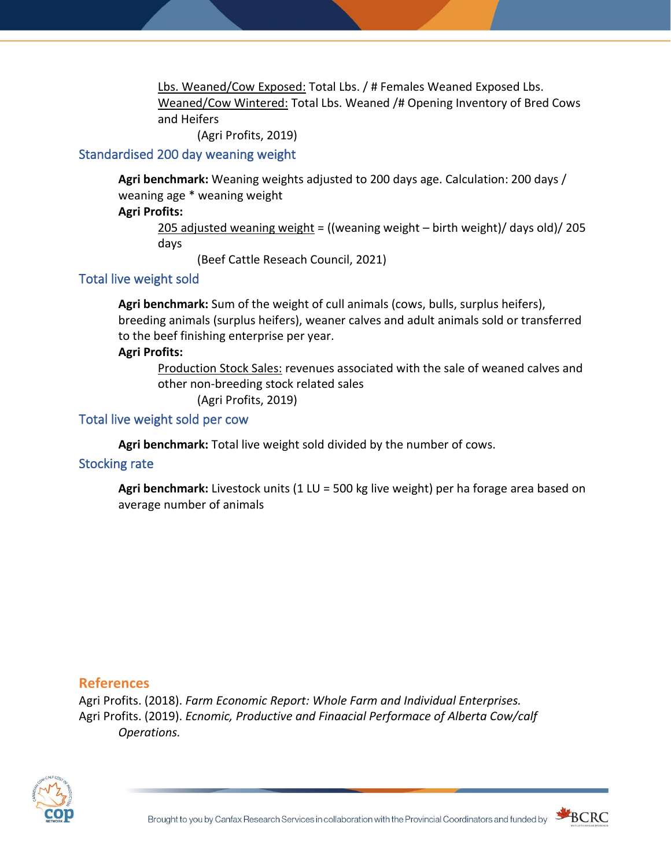Lbs. Weaned/Cow Exposed: Total Lbs. / # Females Weaned Exposed Lbs. Weaned/Cow Wintered: Total Lbs. Weaned /# Opening Inventory of Bred Cows and Heifers

(Agri Profits, 2019)

### <span id="page-12-0"></span>Standardised 200 day weaning weight

**Agri benchmark:** Weaning weights adjusted to 200 days age. Calculation: 200 days / weaning age \* weaning weight

### **Agri Profits:**

205 adjusted weaning weight = ((weaning weight – birth weight)/ days old)/ 205 days

(Beef Cattle Reseach Council, 2021)

### <span id="page-12-1"></span>Total live weight sold

**Agri benchmark:** Sum of the weight of cull animals (cows, bulls, surplus heifers), breeding animals (surplus heifers), weaner calves and adult animals sold or transferred to the beef finishing enterprise per year.

### **Agri Profits:**

Production Stock Sales: revenues associated with the sale of weaned calves and other non-breeding stock related sales

(Agri Profits, 2019)

### <span id="page-12-2"></span>Total live weight sold per cow

**Agri benchmark:** Total live weight sold divided by the number of cows.

### <span id="page-12-3"></span>Stocking rate

**Agri benchmark:** Livestock units (1 LU = 500 kg live weight) per ha forage area based on average number of animals

### <span id="page-12-4"></span>**References**

Agri Profits. (2018). *Farm Economic Report: Whole Farm and Individual Enterprises.* Agri Profits. (2019). *Ecnomic, Productive and Finaacial Performace of Alberta Cow/calf Operations.*